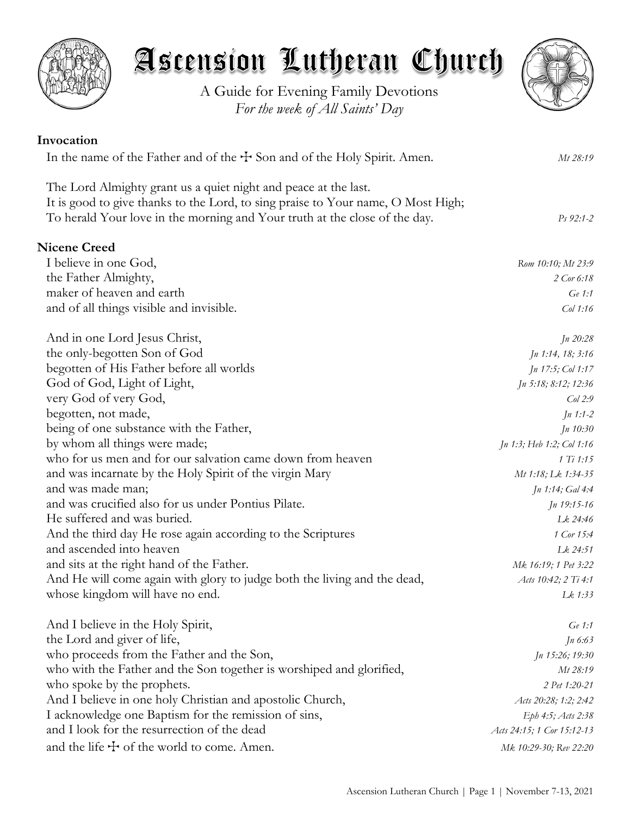

# Ascension Lutheran Church

A Guide for Evening Family Devotions *For the week of All Saints' Day*



| Invocation                                                                                                                                                                                                                        |                            |
|-----------------------------------------------------------------------------------------------------------------------------------------------------------------------------------------------------------------------------------|----------------------------|
| In the name of the Father and of the $\pm$ Son and of the Holy Spirit. Amen.                                                                                                                                                      | Mt 28:19                   |
| The Lord Almighty grant us a quiet night and peace at the last.<br>It is good to give thanks to the Lord, to sing praise to Your name, O Most High;<br>To herald Your love in the morning and Your truth at the close of the day. | $Ps 92:1-2$                |
| <b>Nicene Creed</b>                                                                                                                                                                                                               |                            |
| I believe in one God,                                                                                                                                                                                                             | Rom 10:10; Mt 23:9         |
| the Father Almighty,                                                                                                                                                                                                              | 2 Cor 6:18                 |
| maker of heaven and earth                                                                                                                                                                                                         | $Ge$ 1:1                   |
| and of all things visible and invisible.                                                                                                                                                                                          | $Col$ 1:16                 |
| And in one Lord Jesus Christ,                                                                                                                                                                                                     | <i>Jn 20:28</i>            |
| the only-begotten Son of God                                                                                                                                                                                                      | Jn 1:14, 18; 3:16          |
| begotten of His Father before all worlds                                                                                                                                                                                          | <i>Jn 17:5; Col 1:17</i>   |
| God of God, Light of Light,                                                                                                                                                                                                       | Jn 5:18; 8:12; 12:36       |
| very God of very God,                                                                                                                                                                                                             | Col2:9                     |
| begotten, not made,                                                                                                                                                                                                               | $Jn$ 1:1-2                 |
| being of one substance with the Father,                                                                                                                                                                                           | Jn 10:30                   |
| by whom all things were made;                                                                                                                                                                                                     | Jn 1:3; Heb 1:2; Col 1:16  |
| who for us men and for our salvation came down from heaven                                                                                                                                                                        | 1 Ti 1:15                  |
| and was incarnate by the Holy Spirit of the virgin Mary                                                                                                                                                                           | Mt 1:18; Lk 1:34-35        |
| and was made man;                                                                                                                                                                                                                 | <i>Jn</i> 1:14; Gal 4:4    |
| and was crucified also for us under Pontius Pilate.                                                                                                                                                                               | $Jn$ 19:15-16              |
| He suffered and was buried.                                                                                                                                                                                                       | Lk 24:46                   |
| And the third day He rose again according to the Scriptures                                                                                                                                                                       | 1 Cor 15:4                 |
| and ascended into heaven                                                                                                                                                                                                          | Lk 24:51                   |
| and sits at the right hand of the Father.                                                                                                                                                                                         | Mk 16:19; 1 Pet 3:22       |
| And He will come again with glory to judge both the living and the dead,                                                                                                                                                          | Acts 10:42; 2 Ti 4:1       |
| whose kingdom will have no end.                                                                                                                                                                                                   | Lk 1:33                    |
| And I believe in the Holy Spirit,                                                                                                                                                                                                 | Ge 1:1                     |
| the Lord and giver of life,                                                                                                                                                                                                       | $Jn\,6:63$                 |
| who proceeds from the Father and the Son,                                                                                                                                                                                         | Jn 15:26; 19:30            |
| who with the Father and the Son together is worshiped and glorified,                                                                                                                                                              | Mt 28:19                   |
| who spoke by the prophets.                                                                                                                                                                                                        | 2 Pet 1:20-21              |
| And I believe in one holy Christian and apostolic Church,                                                                                                                                                                         | Acts 20:28; 1:2; 2:42      |
| I acknowledge one Baptism for the remission of sins,                                                                                                                                                                              | Eph 4:5; Acts 2:38         |
| and I look for the resurrection of the dead                                                                                                                                                                                       | Acts 24:15; 1 Cor 15:12-13 |
| and the life $\pm$ of the world to come. Amen.                                                                                                                                                                                    | Mk 10:29-30; Rev 22:20     |